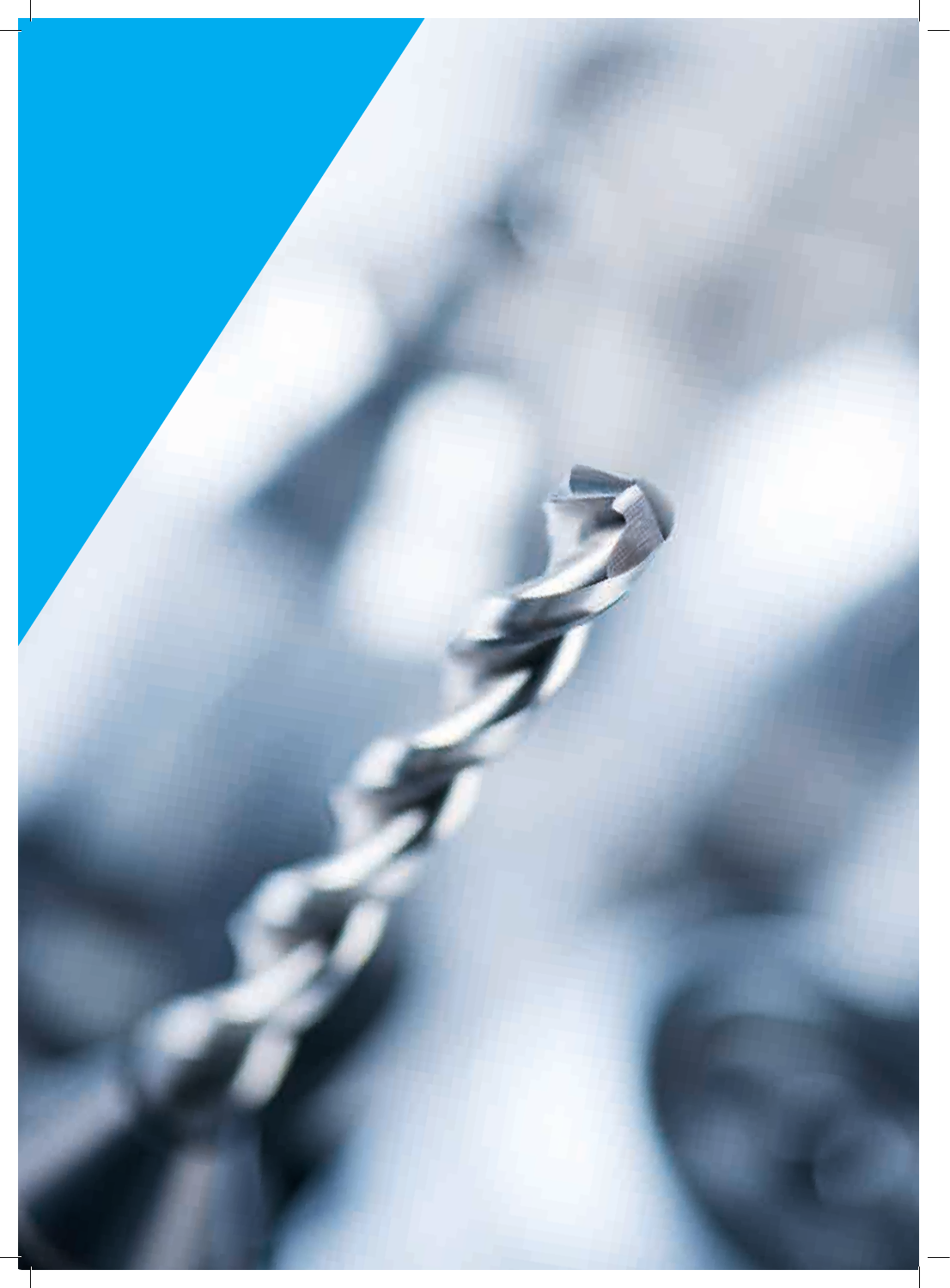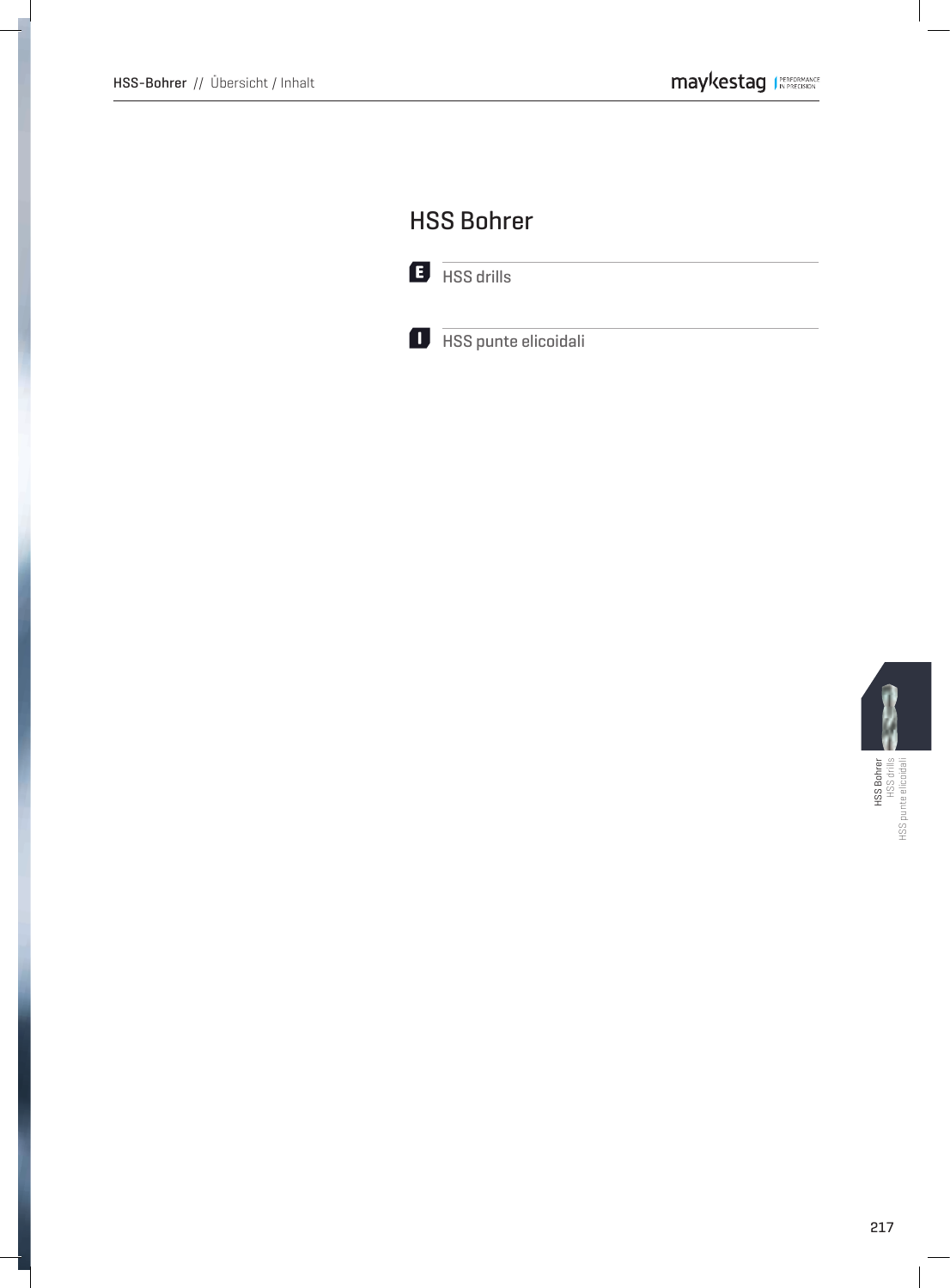# HSS Bohrer

**E** HSS drills

**HSS** punte elicoidali

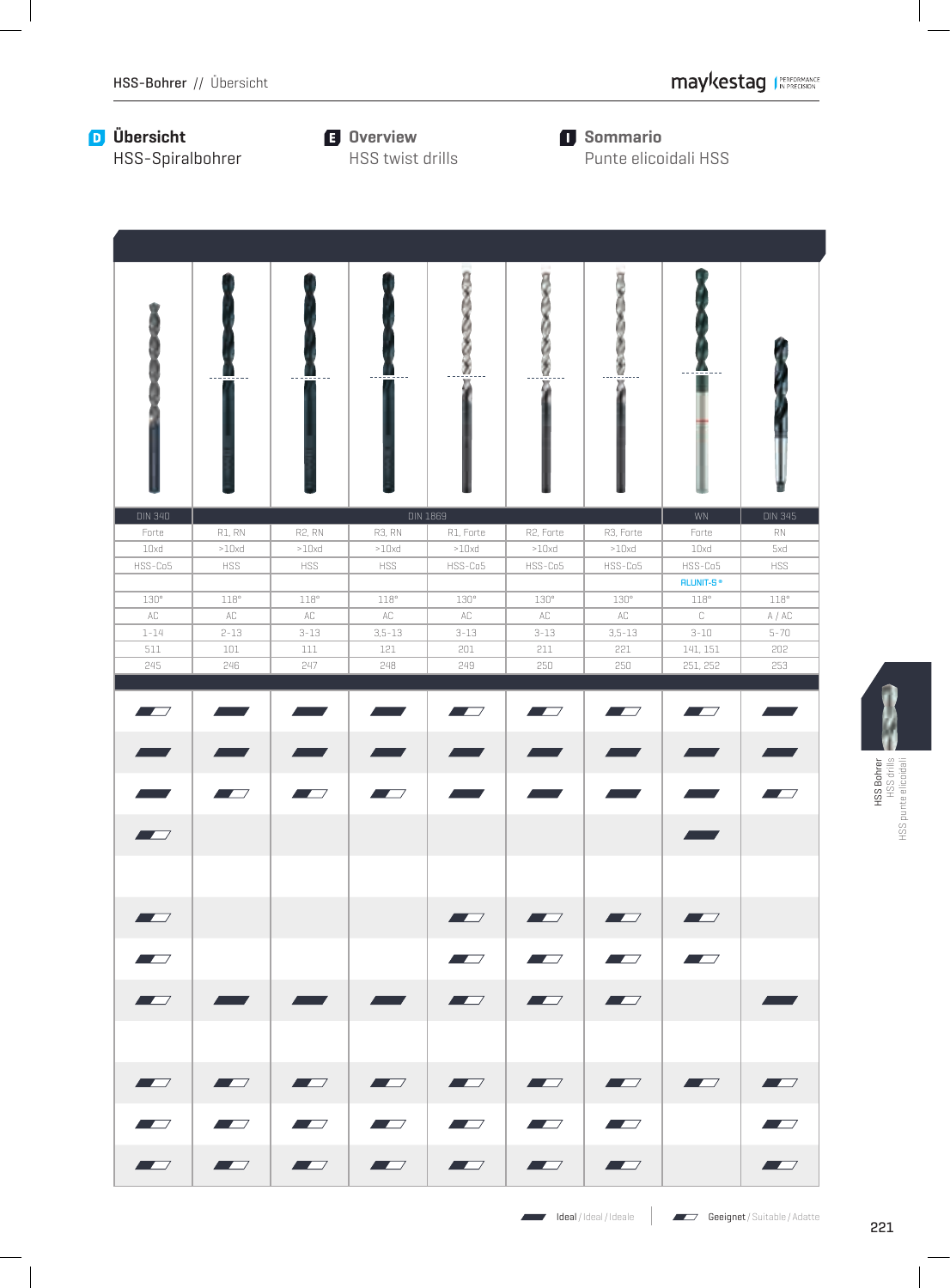### **Übersicht**

HSS-Spiralbohrer

**B** Overview HSS twist drills

**B** Sommario Punte elicoidali HSS

|                                                                                  |                      |                      |                                                                                                                       | Ф                        |                          |                          |                             |                    |
|----------------------------------------------------------------------------------|----------------------|----------------------|-----------------------------------------------------------------------------------------------------------------------|--------------------------|--------------------------|--------------------------|-----------------------------|--------------------|
| <b>DIN 340</b>                                                                   |                      |                      |                                                                                                                       | DIN 1869                 |                          |                          | WN                          | <b>DIN 345</b>     |
| Forte                                                                            | R1, RN               | <b>R2, RN</b>        | R3, RN                                                                                                                | R1, Forte                | R2, Forte                | R3, Forte                | Forte                       | RN                 |
| 10 <sub>xd</sub>                                                                 | $>10\times$          | $>10\times$          | $>10\times$                                                                                                           | $>10\times d$            | $>10\times$              | $>10\times$              | 10 <sub>xd</sub><br>HSS-Co5 | 5xd<br><b>HSS</b>  |
| HSS-Co5                                                                          | <b>HSS</b>           | <b>HSS</b>           | <b>HSS</b>                                                                                                            | HSS-Co5                  | HSS-Co5                  | HSS-Co5                  | <b>ALUNIT-S®</b>            |                    |
| $130^\circ$                                                                      | 118°                 | $118^\circ$          | 118°                                                                                                                  | $130^\circ$              | $130^\circ$              | $130^\circ$              | $118^\circ$                 | $118^\circ$        |
| AC                                                                               | AC                   | AC                   | AC                                                                                                                    | AC                       | AC                       | AC                       | C                           | A / AC             |
| $1 - 14$                                                                         | $2 - 13$             | $3 - 13$             | $3,5 - 13$                                                                                                            | $3 - 13$                 | $3 - 13$                 | $3,5 - 13$               | $3 - 10$                    | $5 - 70$           |
| 511                                                                              | 101                  | $111$                | 121                                                                                                                   | 201                      | 211                      | 221                      | 141, 151                    | 202                |
| 245                                                                              | 246                  | 247                  | 248                                                                                                                   | 249                      | 250                      | 250                      | 251, 252                    | 253                |
| $\overline{\phantom{a}}$<br><b>Contract Contract Contract</b><br>$\qquad \qquad$ | $\sim$ $\sim$ $\sim$ | $\sim$ $\sim$ $\sim$ | $\sim$ $\sim$ $\sim$                                                                                                  | $\overline{\phantom{a}}$ | $\overline{\phantom{a}}$ | $\overline{\phantom{0}}$ | $\overline{\phantom{a}}$    |                    |
| $\qquad \qquad$                                                                  |                      |                      |                                                                                                                       |                          |                          |                          |                             |                    |
| $\sqrt{2}$                                                                       |                      |                      |                                                                                                                       | $\sqrt{2}$               | $\blacksquare$           | $\blacksquare$           | $\sqrt{2}$                  |                    |
| $\sqrt{2}$                                                                       |                      |                      | <u>a shekara ta 1989 a shekara ta 1989 a shekara ta 1989 a shekara ta 1989 a shekara ta 1989 a shekara ta 1989 a </u> |                          | $\blacksquare$           |                          |                             | <b>All Service</b> |
|                                                                                  |                      |                      |                                                                                                                       |                          |                          |                          |                             |                    |
| $\sqrt{2}$                                                                       | $\sqrt{2}$           |                      |                                                                                                                       |                          |                          |                          |                             | $\sqrt{2}$         |
| $\sqrt{2}$                                                                       | $\blacksquare$       |                      | $\blacksquare$                                                                                                        |                          | $\blacksquare$           | $\sqrt{2}$               |                             | $\sqrt{2}$         |
|                                                                                  |                      |                      |                                                                                                                       |                          |                          |                          |                             | $\qquad \qquad$    |

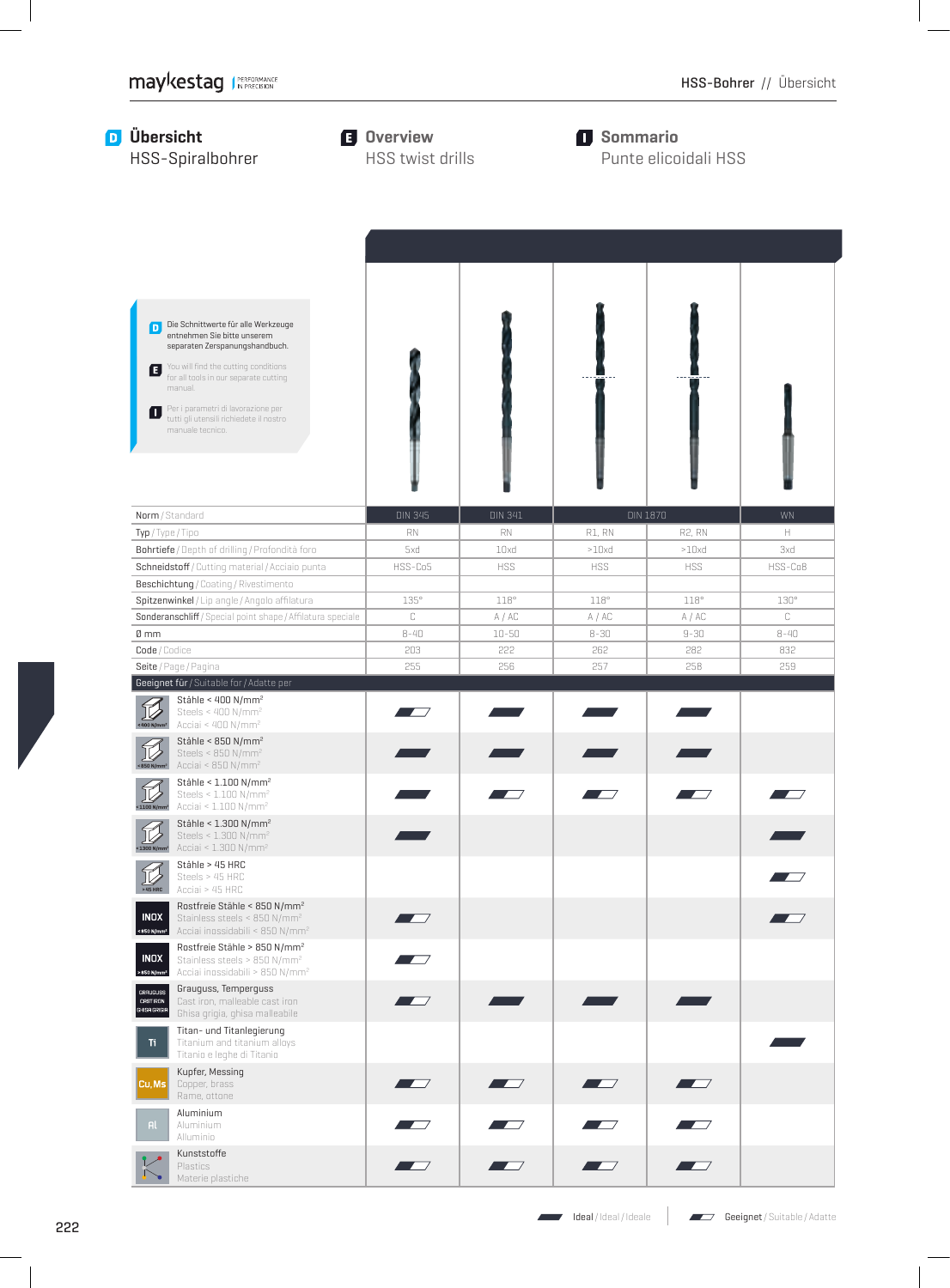### **Übersicht**

HSS-Spiralbohrer



**B** Sommario Punte elicoidali HSS

| Die Schnittwerte für alle Werkzeuge<br>σ<br>entnehmen Sie bitte unserem<br>separaten Zerspanungshandbuch.<br>You will find the cutting conditions<br>[ E<br>for all tools in our separate cutting<br>manual.<br>Per i parametri di lavorazione per<br>Π<br>tutti gli utensili richiedete il nostro<br>manuale tecnico. |                          |                          |                          |                          |             |
|------------------------------------------------------------------------------------------------------------------------------------------------------------------------------------------------------------------------------------------------------------------------------------------------------------------------|--------------------------|--------------------------|--------------------------|--------------------------|-------------|
| Norm / Standard                                                                                                                                                                                                                                                                                                        | <b>DIN 345</b>           | <b>DIN 341</b>           | DIN 1870                 |                          | WN          |
| Typ / Type / Tipo                                                                                                                                                                                                                                                                                                      | RN                       | <b>RN</b>                | R1, RN                   | R2, RN                   | H           |
| Bohrtiefe / Depth of drilling / Profondità foro                                                                                                                                                                                                                                                                        | 5xd                      | 10 <sub>xd</sub>         | $>10\times d$            | $>10\times$              | 3xd         |
| Schneidstoff / Cutting material / Acciaio punta                                                                                                                                                                                                                                                                        | HSS-Co5                  | <b>HSS</b>               | <b>HSS</b>               | <b>HSS</b>               | HSS-Co8     |
| Beschichtung / Coating / Rivestimento                                                                                                                                                                                                                                                                                  |                          |                          |                          |                          |             |
| Spitzenwinkel / Lip angle / Angolo affilatura                                                                                                                                                                                                                                                                          | $135^\circ$              | 118°                     | 118°                     | $118^\circ$              | $130^\circ$ |
| Sonderanschliff / Special point shape / Affilatura speciale                                                                                                                                                                                                                                                            | C                        | A / AC                   | A / AC                   | A / AC                   | C           |
| 0 mm                                                                                                                                                                                                                                                                                                                   | $8 - 40$                 | $10 - 50$                | $8 - 30$                 | $9 - 30$                 | $8 - 40$    |
| Code / Codice                                                                                                                                                                                                                                                                                                          | 203                      | 222                      | 262                      | 282                      | 832         |
| Seite / Page / Pagina                                                                                                                                                                                                                                                                                                  | 255                      | 256                      | 257                      | 258                      | 259         |
| Geeignet für / Suitable for / Adatte per                                                                                                                                                                                                                                                                               |                          |                          |                          |                          |             |
| Stähle < 400 N/mm <sup>2</sup><br>Steels < $400 N/mm^2$<br>Acciai < 400 $N/mm^2$                                                                                                                                                                                                                                       | $\sqrt{2}$               |                          |                          |                          |             |
| Stähle < 850 N/mm <sup>2</sup><br>Steels < $850 N/mm^2$<br>Acciai < $850 N/mm2$                                                                                                                                                                                                                                        |                          |                          |                          |                          |             |
| Stähle < 1.100 N/mm <sup>2</sup><br>Steels < $1.100 N/mm2$<br>Acciai < $1.100$ N/mm <sup>2</sup><br>1100 N/m                                                                                                                                                                                                           |                          |                          |                          |                          |             |
| Stähle < 1.300 N/mm <sup>2</sup><br>Steels < $1.300$ N/mm <sup>2</sup><br>Acciai < $1.300$ N/mm <sup>2</sup>                                                                                                                                                                                                           |                          |                          |                          |                          |             |
| Stähle > 45 HRC<br>Í<br>Steels > 45 HRC<br>Acciai > 45 HRC<br>$>45$ HRC                                                                                                                                                                                                                                                |                          |                          |                          |                          |             |
| Rostfreie Stähle < 850 N/mm <sup>2</sup><br><b>INOX</b><br>Stainless steels < 850 N/mm <sup>2</sup><br>Acciai inossidabili < 850 N/mm <sup>2</sup><br>$< 850 N/mm^2$                                                                                                                                                   | $\sqrt{2}$               |                          |                          |                          | $\sqrt{2}$  |
| Rostfreie Stähle > 850 N/mm <sup>2</sup><br><b>INDX</b><br>Stainless steels > 850 N/mm <sup>2</sup><br>Acciai inossidabili > 850 N/mm <sup>2</sup><br>> 850 N/mm <sup>s</sup>                                                                                                                                          | $\overline{\phantom{a}}$ |                          |                          |                          |             |
| Grauguss, Temperguss<br><b>GRAUGUSS</b><br><b>CAST IRON</b><br>Cast iron, malleable cast iron<br>GHISA GRIGIA<br>Ghisa grigia, ghisa malleabile                                                                                                                                                                        | $\qquad \qquad$          |                          |                          |                          |             |
| Titan- und Titanlegierung<br>Titanium and titanium alloys<br>Ti.<br>Titanio e leghe di Titanio                                                                                                                                                                                                                         |                          |                          |                          |                          |             |
| Kupfer, Messing<br>Cu, Ms<br>Copper, brass<br>Rame, ottone                                                                                                                                                                                                                                                             | $\overline{\phantom{a}}$ | $\overline{\phantom{0}}$ | $\overline{\phantom{0}}$ | $\overline{\phantom{0}}$ |             |
| Aluminium<br>$\mathsf{RL}$<br>Aluminium<br>Alluminio                                                                                                                                                                                                                                                                   | $\overline{\phantom{a}}$ | $\overline{\phantom{0}}$ | $\overline{\phantom{a}}$ | $\overline{\phantom{0}}$ |             |
| Kunststoffe<br>K<br>Plastics<br>Materie plastiche                                                                                                                                                                                                                                                                      | $\overline{\phantom{0}}$ | $\overline{\phantom{0}}$ | $\overline{\phantom{0}}$ | $\qquad \qquad$          |             |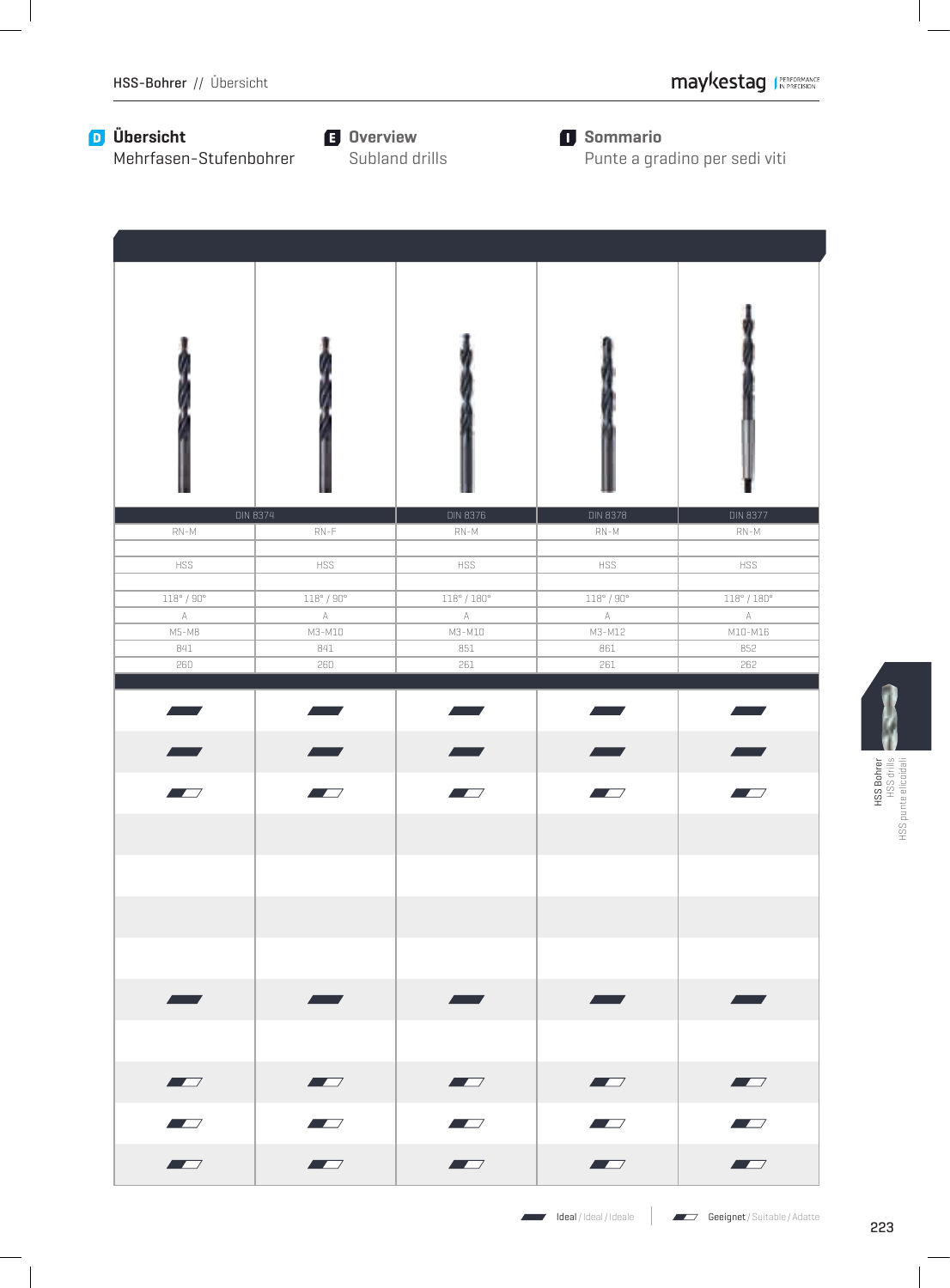### **Übersicht**

Mehrfasen-Stufenbohrer

**B** Overview Subland drills **Sommario** 

Punte a gradino per sedi viti

| $RN-M$                 | <b>DIN 8374</b><br>$RN-F$    | DIN 8376<br>$RN-M$            | DIN 8378<br>$RN-M$           | <b>DIN 8377</b><br>$\mathsf{RN}\text{-}\mathsf{M}$ |
|------------------------|------------------------------|-------------------------------|------------------------------|----------------------------------------------------|
| <b>HSS</b>             | <b>HSS</b>                   | <b>HSS</b>                    | $_{\rm HSS}$                 | <b>HSS</b>                                         |
| $118^\circ / 90^\circ$ | $118^{\circ}$ / $90^{\circ}$ | $118^{\circ}$ / $180^{\circ}$ | $118^{\circ}$ / $90^{\circ}$ | $118^{\circ}$ / $180^{\circ}$                      |
| $\mathbb A$            | A                            | $\mathsf A$                   | $\mathbb A$                  | A                                                  |
| M5-M8                  | M3-M10                       | M3-M10                        | M3-M12                       | M10-M16                                            |
| 841<br>260             | 841<br>260                   | 851<br>261                    | 861<br>261                   | 852<br>262                                         |
|                        |                              |                               |                              |                                                    |
| <u> a shekara t</u>    | <u>a a shekara t</u>         | <u>a and</u>                  | $\qquad \qquad$              | <b>All Dealers</b>                                 |
|                        | <u>a ma</u>                  |                               | <u>a and</u>                 |                                                    |
|                        |                              |                               |                              |                                                    |
| $\sqrt{2}$             | $\qquad \qquad$              | $\sqrt{2}$                    | $\qquad \qquad$              | $\sqrt{2}$                                         |
|                        |                              |                               |                              |                                                    |
|                        |                              |                               |                              |                                                    |
|                        |                              |                               |                              |                                                    |
|                        |                              |                               |                              |                                                    |
|                        |                              |                               |                              |                                                    |
| $\sqrt{2}$             | $\sqrt{2}$                   | $\sqrt{2}$                    |                              | $\sqrt{2}$                                         |
|                        |                              |                               |                              |                                                    |
| $\blacksquare$         | $\qquad \qquad$              | $\qquad \qquad$               | $\sqrt{2}$                   | $\qquad \qquad$                                    |
|                        |                              |                               |                              |                                                    |
| $\sqrt{2}$             | $\sqrt{2}$                   | $\sqrt{2}$                    | $\sqrt{2}$                   | $\sqrt{2}$                                         |
| $\sqrt{2}$             | $\qquad \qquad$              | $\sqrt{2}$                    | $\sqrt{2}$                   | $\sqrt{2}$                                         |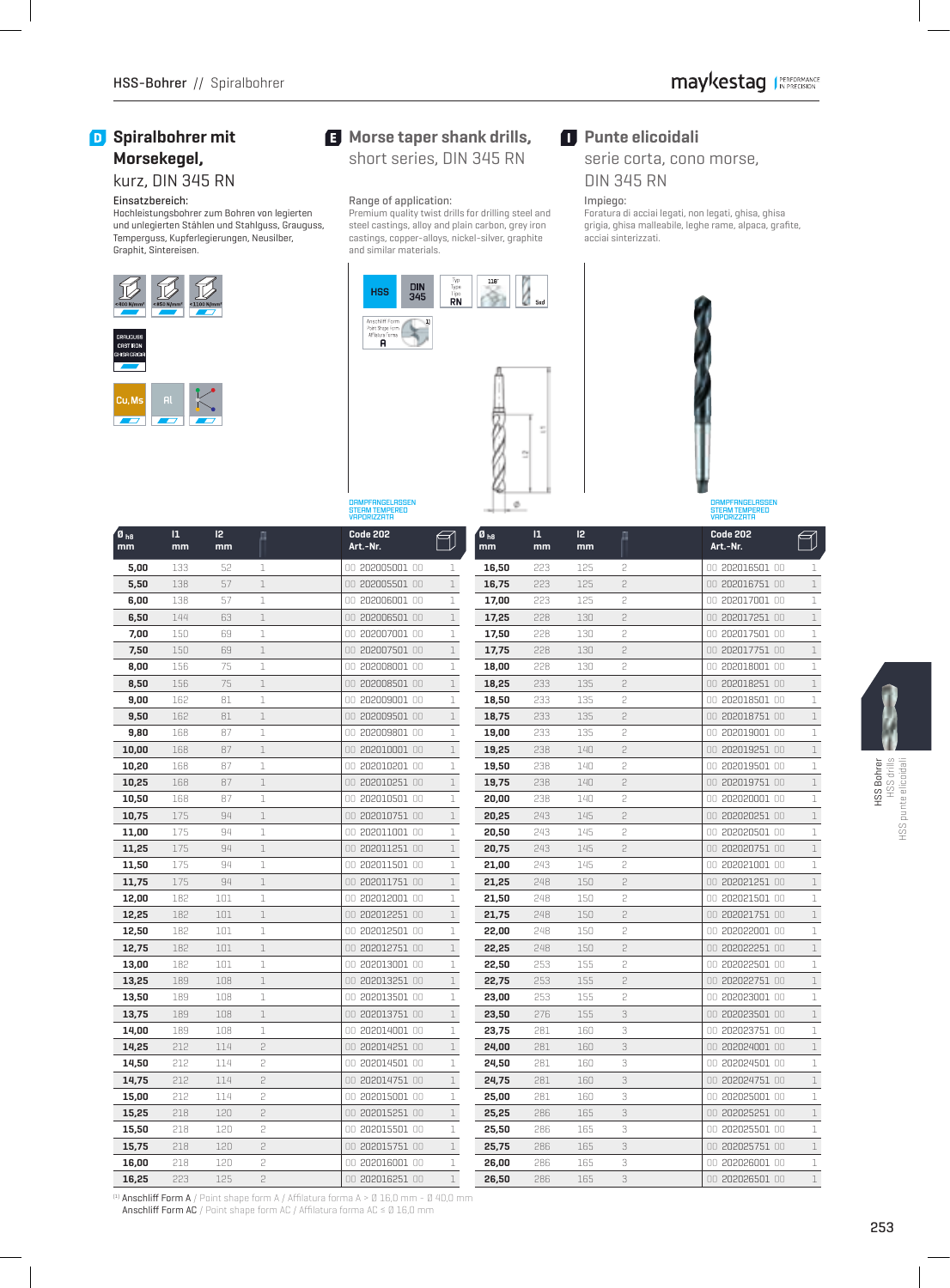### **B** Spiralbohrer mit **Morsekegel,**

### kurz, DIN 345 RN

### Einsatzbereich:

 Hochleistungsbohrer zum Bohren von legierten und unlegierten Stählen und Stahlguss, Grauguss, Temperguss, Kupferlegierungen, Neusilber, Graphit, Sintereisen.







### **Morse taper shank drills,** short series, DIN 345 RN

#### Range of application:

**DAMPFANGELASSEN STEAM TEMPERED**

 Premium quality twist drills for drilling steel and steel castings, alloy and plain carbon, grey iron castings, copper-alloys, nickel- silver, graphite and similar materials.



### $\blacksquare$  Punte elicoidali

serie corta, cono morse,

### DIN 345 RN

Impiego:

 Foratura di acciai legati, non legati, ghisa, ghisa grigia, ghisa malleabile, leghe rame, alpaca, grafite, acciai sinterizzati.





**DAMPFANGELASSEN STEAM TEMPERED**

|                                    |          |          |                          | <b>VAPORIZZATA</b>          |              |                       |          |          |                | <b>VAPORIZZATA</b>              |
|------------------------------------|----------|----------|--------------------------|-----------------------------|--------------|-----------------------|----------|----------|----------------|---------------------------------|
| $\overline{\mathbf{0}}_{h8}$<br>mm | 1 <br>mm | 2 <br>mm |                          | <b>Code 202</b><br>Art.-Nr. |              | Ø <sub>h8</sub><br>mm | 1 <br>mm | 2 <br>mm |                | <b>Code 202</b><br>Art.-Nr.     |
| 5,00                               | 133      | 52       | $\mathbf{1}$             | 00 202005001 00             | 1            | 16,50                 | 223      | 125      | 2              | 00 202016501 00<br>1            |
| 5,50                               | 138      | 57       | $\mathbf{1}$             | 00 202005501 00             | $\mathbf{1}$ | 16,75                 | 223      | 125      | $\overline{c}$ | $\mathbf{1}$<br>00 202016751 00 |
| 6,00                               | 138      | 57       | $\mathbf{1}$             | 00 202006001 00             | $\mathbf 1$  | 17,00                 | 223      | 125      | 2              | 00 202017001 00<br>$\mathbf{1}$ |
| 6,50                               | 144      | 63       | 1                        | 00 202006501 00             | $\mathbf{1}$ | 17,25                 | 228      | 130      | 2              | $\mathbf{1}$<br>00 202017251 00 |
| 7,00                               | 150      | 69       | $\mathbf{1}$             | 00 202007001 00             | $\mathbf{1}$ | 17,50                 | 228      | 130      | 2              | $\mathbf 1$<br>00 202017501 00  |
| 7,50                               | 150      | 69       | $1\,$                    | 00 202007501 00             | $\mathbf 1$  | 17,75                 | 228      | 130      | 2              | $\mathbf 1$<br>00 202017751 00  |
| 8,00                               | 156      | 75       | $\mathbf 1$              | 00 202008001 00             | $\mathbf{1}$ | 18,00                 | 228      | 130      | 2              | $\mathbf 1$<br>00 202018001 00  |
| 8,50                               | 156      | 75       | $\overline{\phantom{a}}$ | 00 202008501 00             | $\mathbf{1}$ | 18,25                 | 233      | 135      | $\overline{c}$ | $\mathbf{1}$<br>00 202018251 00 |
| 9,00                               | 162      | 81       | $\mathbf{1}$             | 00 202009001 00             | $\mathbf{1}$ | 18,50                 | 233      | 135      | 2              | 00 202018501 00<br>1            |
| 9,50                               | 162      | 81       | 1                        | 00 202009501 00             | $\mathbf{1}$ | 18,75                 | 233      | 135      | 2              | 00 202018751 00<br>$\mathbf{1}$ |
| 9,80                               | 168      | 87       | 1                        | 00 202009801 00             | $\mathbf 1$  | 19,00                 | 233      | 135      | 2              | 00 202019001 00<br>$\mathbf 1$  |
| 10,00                              | 168      | 87       | $\mathbf{1}$             | 00 202010001 00             | $\mathbf{1}$ | 19,25                 | 238      | 140      | 2              | $\mathbf 1$<br>00 202019251 00  |
| 10,20                              | 168      | 87       | $\mathbf{1}$             | 00 202010201 00             | $\mathbf 1$  | 19,50                 | 238      | 140      | 2              | $\mathbf 1$<br>00 202019501 00  |
| 10,25                              | 168      | 87       | $1\,$                    | 00 202010251 00             | $\mathbf 1$  | 19,75                 | 238      | 140      | 2              | $\mathbf 1$<br>00 202019751 00  |
| 10,50                              | 168      | 87       | $\mathbb{1}$             | 00 202010501 00             | $\mathbf{1}$ | 20.00                 | 238      | 140      | 2              | 00 202020001 00<br>$\mathbf{1}$ |
| 10,75                              | 175      | 94       | $\mathbf 1$              | 00 202010751 00             | $\mathbf{1}$ | 20.25                 | 243      | 145      | 2              | 00 202020251 00<br>$\mathbf 1$  |
| 11,00                              | 175      | 94       | 1                        | 00 202011001 00             | $\mathbf{1}$ | 20,50                 | 243      | 145      | 2              | 00 202020501 00<br>$\mathbf 1$  |
| 11,25                              | 175      | 94       | $\mathbf 1$              | 00 202011251 00             | $\mathbf{1}$ | 20,75                 | 243      | 145      | 2              | $\mathbf 1$<br>00 202020751 00  |
| 11,50                              | 175      | 94       | $\mathbf{1}$             | 00 202011501 00             | $\mathbf{1}$ | 21,00                 | 243      | 145      | 2              | 00 202021001 00<br>$\,1$        |
| 11,75                              | 175      | 94       | $\mathbbm{1}$            | 00 202011751 00             | $\mathbf 1$  | 21,25                 | 248      | 150      | $\overline{c}$ | $\mathbf 1$<br>00 202021251 00  |
| 12,00                              | 182      | 101      | $\mathbf 1$              | 00 202012001 00             | $\mathbf 1$  | 21,50                 | 248      | 150      | 2              | 00 202021501 00<br>$\mathbf 1$  |
| 12,25                              | 182      | 101      | $\mathbf{1}$             | 00 202012251 00             | $\mathbf 1$  | 21,75                 | 248      | 150      | 2              | 00 202021751 00<br>$\mathbf 1$  |
| 12,50                              | 182      | 101      | 1                        | 00 202012501 00             | $\mathbf 1$  | 22,00                 | 248      | 150      | 2              | 00 202022001 00<br>$\mathbf 1$  |
| 12,75                              | 182      | 101      | $\mathbf{1}$             | 00 202012751 00             | $\mathbf{1}$ | 22,25                 | 248      | 150      | 2              | $\mathbf{1}$<br>00 202022251 00 |
| 13,00                              | 182      | 101      | 1                        | 00 202013001 00             | $\mathbf{1}$ | 22,50                 | 253      | 155      | 2              | $\mathbf 1$<br>00 202022501 00  |
| 13,25                              | 189      | 108      | $\mathbbm{1}$            | 00 202013251 00             | $\mathbf 1$  | 22,75                 | 253      | 155      | 2              | 00 202022751 00<br>$\mathbf 1$  |
| 13,50                              | 189      | 108      | $\mathbf 1$              | 00 202013501 00             | $\mathbf{1}$ | 23,00                 | 253      | 155      | 2              | 00 202023001 00<br>$\mathbf{1}$ |
| 13,75                              | 189      | 108      | $\mathbf{1}$             | 00 202013751 00             | $\mathbf 1$  | 23,50                 | 276      | 155      | 3              | 00 202023501 00<br>$\mathbf 1$  |
| 14,00                              | 189      | 108      | $\mathbf 1$              | 00 202014001 00             | $\mathbf{1}$ | 23,75                 | 281      | 160      | 3              | 00 202023751 00<br>$\mathbf{1}$ |
| 14,25                              | 212      | 114      | 2                        | 00 202014251 00             | $\mathbf{1}$ | 24,00                 | 281      | 160      | 3              | $\mathbf{1}$<br>00 202024001 00 |
| 14,50                              | 212      | 114      | 2                        | 00 202014501 00             | $\mathbf{1}$ | 24,50                 | 281      | 160      | 3              | 00 202024501 00<br>$\mathbf 1$  |
| 14,75                              | 212      | 114      | 2                        | 00 202014751 00             | $\mathbf{1}$ | 24,75                 | 281      | 160      | 3              | $\mathbf 1$<br>00 202024751 00  |
| 15,00                              | 212      | 114      | 2                        | 00 202015001 00             | $\mathbf{1}$ | 25,00                 | 281      | 160      | 3              | 00 202025001 00<br>$\mathbf{1}$ |
| 15,25                              | 218      | 120      | $\overline{c}$           | 00 202015251 00             | $\mathbf 1$  | 25,25                 | 286      | 165      | 3              | $\mathbf 1$<br>00 202025251 00  |
| 15,50                              | 218      | 120      | 2                        | 00 202015501 00             | $\mathbf 1$  | 25,50                 | 286      | 165      | 3              | 00 202025501 00<br>$\mathbf 1$  |
| 15,75                              | 218      | 120      | 2                        | 00 202015751 00             | $\mathbf{1}$ | 25,75                 | 286      | 165      | 3              | $\mathbf{1}$<br>00 202025751 00 |
| 16,00                              | 218      | 120      | 2                        | 00 202016001 00             | 1            | 26,00                 | 286      | 165      | 3              | 00 202026001 00<br>1            |
| 16,25                              | 223      | 125      | 2                        | 00 202016251 00             | $\mathbb{1}$ | 26,50                 | 286      | 165      | 3              | $\mathbf 1$<br>00 202026501 00  |

 $F^{(1)}$  Anschliff Form A / Point shape form A / Affilatura forma A > Ø 16,0 mm - Ø 40,0 mm **Anschliff Form AC** / Point shape form AC / Affilatura forma AC  $\leq \emptyset$  16,0 mm

HSS Bohrer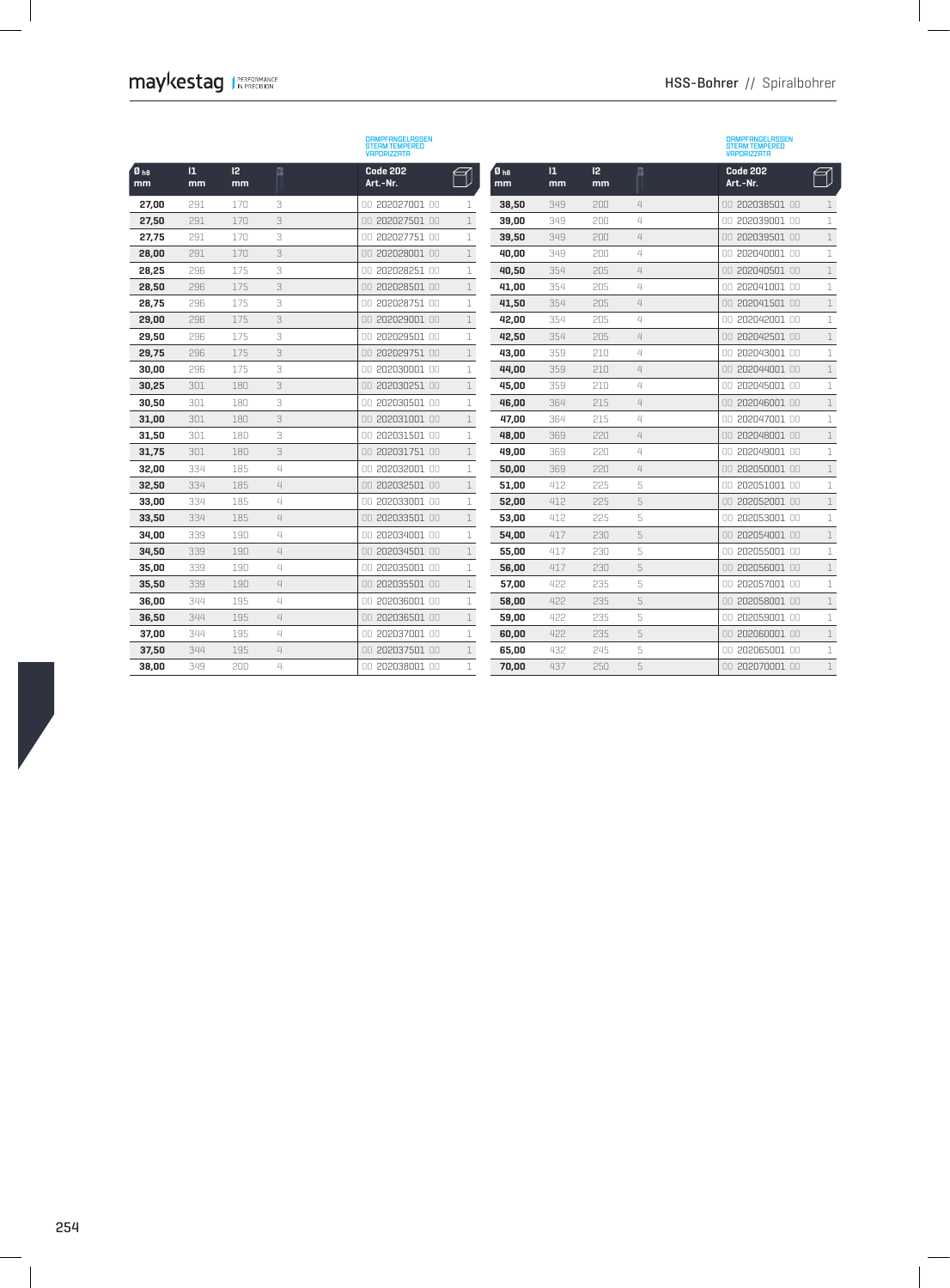|                       |                    |          |                                                                                                                                                                                                                                                                                                                                                                                                                                                                                                                      | <b>DRMPFANGELASSEN</b><br><b>STERM TEMPERED</b><br><b>VAPORIZZATA</b> |                        |                    |          |                          | <b>DAMPFANGELASSEN</b><br><b>STEAM TEMPERED</b><br><b>VAPORIZZATA</b> |
|-----------------------|--------------------|----------|----------------------------------------------------------------------------------------------------------------------------------------------------------------------------------------------------------------------------------------------------------------------------------------------------------------------------------------------------------------------------------------------------------------------------------------------------------------------------------------------------------------------|-----------------------------------------------------------------------|------------------------|--------------------|----------|--------------------------|-----------------------------------------------------------------------|
| 0 <sub>h8</sub><br>mm | $\mathbf{1}$<br>mm | 2 <br>mm | Ш                                                                                                                                                                                                                                                                                                                                                                                                                                                                                                                    | <b>Code 202</b><br>⇐<br>Art.-Nr.                                      | ์0 <sub>h8</sub><br>mm | $\mathbf{1}$<br>mm | 2 <br>mm | Л                        | <b>Code 202</b><br>fl<br>Art.-Nr.                                     |
| 27.00                 | 291                | 170      | 3                                                                                                                                                                                                                                                                                                                                                                                                                                                                                                                    | 00 202027001 00<br>1                                                  | 38.50                  | 349                | 200      | $\overline{4}$           | 00 202038501 00<br>1                                                  |
| 27,50                 | 291                | 170      | 3                                                                                                                                                                                                                                                                                                                                                                                                                                                                                                                    | 00 202027501 00<br>$\mathbf{1}$                                       | 39,00                  | 349                | 200      | $\overline{4}$           | 00 202039001 00<br>1                                                  |
| 27,75                 | 291                | 170      | 3                                                                                                                                                                                                                                                                                                                                                                                                                                                                                                                    | 00 202027751 00<br>1                                                  | 39,50                  | 349                | 200      | $\overline{4}$           | 00 202039501 00<br>1                                                  |
| 28,00                 | 291                | 170      | 3                                                                                                                                                                                                                                                                                                                                                                                                                                                                                                                    | 00 202028001 00<br>1                                                  | 40,00                  | 349                | 200      | 4                        | 00 202040001 00<br>1                                                  |
| 28.25                 | 296                | 175      | 3                                                                                                                                                                                                                                                                                                                                                                                                                                                                                                                    | 00 202028251 00<br>$\mathbf{1}$                                       | 40.50                  | 354                | 205      | $\overline{4}$           | $\mathbf 1$<br>00 202040501 00                                        |
| 28,50                 | 296                | 175      | 3                                                                                                                                                                                                                                                                                                                                                                                                                                                                                                                    | 00 202028501 00<br>$\mathbf 1$                                        | 41.00                  | 354                | 205      | $\overline{\mathcal{L}}$ | 00 202041001 00<br>1                                                  |
| 28,75                 | 296                | 175      | 3                                                                                                                                                                                                                                                                                                                                                                                                                                                                                                                    | 00 202028751 00<br>1                                                  | 41,50                  | 354                | 205      | $\overline{4}$           | $\mathbf 1$<br>00 202041501 00                                        |
| 29.00                 | 296                | 175      | 3                                                                                                                                                                                                                                                                                                                                                                                                                                                                                                                    | 00 202029001 00<br>$\mathbf 1$                                        | 42,00                  | 354                | 205      | 4                        | 00 202042001 00<br>1                                                  |
| 29.50                 | 296                | 175      | 3                                                                                                                                                                                                                                                                                                                                                                                                                                                                                                                    | 00 202029501 00<br>1                                                  | 42.50                  | 354                | 205      | $\overline{4}$           | 00 202042501 00<br>$\mathbf{1}$                                       |
| 29,75                 | 296                | 175      | 3                                                                                                                                                                                                                                                                                                                                                                                                                                                                                                                    | $\mathbf 1$<br>00 202029751 00                                        | 43,00                  | 359                | 210      | 4                        | 00 202043001 00<br>1                                                  |
| 30.00                 | 296                | 175      | 3                                                                                                                                                                                                                                                                                                                                                                                                                                                                                                                    | 00 202030001 00<br>$\mathbf{1}$                                       | 44.00                  | 359                | 210      | $\overline{4}$           | 00 202044001 00<br>1                                                  |
| 30,25                 | 301                | 180      | 3                                                                                                                                                                                                                                                                                                                                                                                                                                                                                                                    | 00 202030251 00<br>$\mathbf 1$                                        | 45.00                  | 359                | 210      | 4                        | $\mathbf 1$<br>00 202045001 00                                        |
| 30.50                 | 301                | 180      | 3                                                                                                                                                                                                                                                                                                                                                                                                                                                                                                                    | 00 202030501 00<br>1                                                  | 46,00                  | 364                | 215      | $\overline{\mathcal{L}}$ | 202046001 00<br>1<br>$\Omega$                                         |
| 31,00                 | 301                | 180      | 3                                                                                                                                                                                                                                                                                                                                                                                                                                                                                                                    | 00 202031001 00<br>1                                                  | 47,00                  | 364                | 215      | $\overline{4}$           | 00 202047001 00<br>1                                                  |
| 31.50                 | 301                | 180      | 3                                                                                                                                                                                                                                                                                                                                                                                                                                                                                                                    | 00 202031501 00<br>$\mathbf{1}$                                       | 48.00                  | 369                | 220      | $\overline{4}$           | 00 202048001 00<br>$\mathbf 1$                                        |
| 31,75                 | 301                | 180      | 3                                                                                                                                                                                                                                                                                                                                                                                                                                                                                                                    | $\mathbf 1$<br>00 202031751 00                                        | 49,00                  | 369                | 220      | 4                        | 00 202049001 00<br>1                                                  |
| 32,00                 | 334                | 185      | 4                                                                                                                                                                                                                                                                                                                                                                                                                                                                                                                    | 00 202032001 00<br>1                                                  | 50.00                  | 369                | 220      | $\overline{4}$           | 00 202050001 00<br>1                                                  |
| 32,50                 | 334                | 185      | 4                                                                                                                                                                                                                                                                                                                                                                                                                                                                                                                    | 00 202032501 00<br>$\mathbf 1$                                        | 51,00                  | 412                | 225      | 5                        | 00 202051001 00<br>1                                                  |
| 33,00                 | 334                | 185      | $\overline{\mathcal{L}}$                                                                                                                                                                                                                                                                                                                                                                                                                                                                                             | 00 202033001 00<br>$\mathbf 1$                                        | 52,00                  | 412                | 225      | 5                        | 00 202052001 00<br>$\mathbf 1$                                        |
| 33,50                 | 334                | 185      | $\overline{\mathcal{L}}$                                                                                                                                                                                                                                                                                                                                                                                                                                                                                             | $\mathbf 1$<br>00 202033501 00                                        | 53,00                  | 412                | 225      | 5                        | 202053001 00<br>1<br>nn                                               |
| 34.00                 | 339                | 190      | $\mathcal{L}% _{0}\left( t\right) \equiv\mathcal{L}_{0}\left( t\right) \equiv\mathcal{L}_{1}\left( t\right) \equiv\mathcal{L}_{1}\left( t\right) \equiv\mathcal{L}_{1}\left( t\right) \equiv\mathcal{L}_{2}\left( t\right) \equiv\mathcal{L}_{1}\left( t\right) \equiv\mathcal{L}_{2}\left( t\right) \equiv0\text{, }% \left( t\right) \equiv\mathcal{L}_{1}\left( t\right) \equiv\mathcal{L}_{2}\left( t\right) \equiv0\text{, }% \left( t\right) \equiv\mathcal{L}_{1}\left( t\right) \equiv\mathcal{L}_{2}\left($ | 00 202034001 00<br>1                                                  | 54,00                  | 417                | 230      | 5                        | 00 202054001 00<br>1                                                  |
| 34,50                 | 339                | 190      | 4                                                                                                                                                                                                                                                                                                                                                                                                                                                                                                                    | 00 202034501 00<br>$\mathbf 1$                                        | 55,00                  | 417                | 230      | 5                        | 00 202055001 00<br>1                                                  |
| 35,00                 | 339                | 190      | $\mathcal{L}$                                                                                                                                                                                                                                                                                                                                                                                                                                                                                                        | 00 202035001 00<br>1                                                  | 56,00                  | 417                | 230      | 5                        | 00 202056001 00<br>$\mathbf 1$                                        |
| 35,50                 | 339                | 190      | 4                                                                                                                                                                                                                                                                                                                                                                                                                                                                                                                    | 00 202035501 00<br>$\mathbf 1$                                        | 57,00                  | 422                | 235      | 5                        | 00 202057001 00<br>1                                                  |
| 36,00                 | 344                | 195      | $\mathcal{L}$                                                                                                                                                                                                                                                                                                                                                                                                                                                                                                        | $\mathbf 1$<br>00 202036001 00                                        | 58,00                  | 422                | 235      | 5                        | 00 202058001 00<br>$\mathbf 1$                                        |
| 36.50                 | 344                | 195      | $\overline{\mathcal{L}}$                                                                                                                                                                                                                                                                                                                                                                                                                                                                                             | $\mathbf 1$<br>00 202036501 00                                        | 59.00                  | 422                | 235      | 5                        | 00 202059001 00<br>1                                                  |
| 37.00                 | 344                | 195      | 4                                                                                                                                                                                                                                                                                                                                                                                                                                                                                                                    | 00 202037001 00<br>1                                                  | 60.00                  | 422                | 235      | 5                        | 00 202060001 00<br>$\mathbf 1$                                        |
| 37.50                 | 344                | 195      | $\overline{\mathcal{L}}$                                                                                                                                                                                                                                                                                                                                                                                                                                                                                             | 00 202037501 00<br>1                                                  | 65.00                  | 432                | 245      | 5                        | 00 202065001 00<br>1                                                  |
| 38,00                 | 349                | 200      | $\perp$                                                                                                                                                                                                                                                                                                                                                                                                                                                                                                              | 00 202038001 00<br>1                                                  | 70,00                  | 437                | 250      | 5                        | 00 202070001 00<br>1                                                  |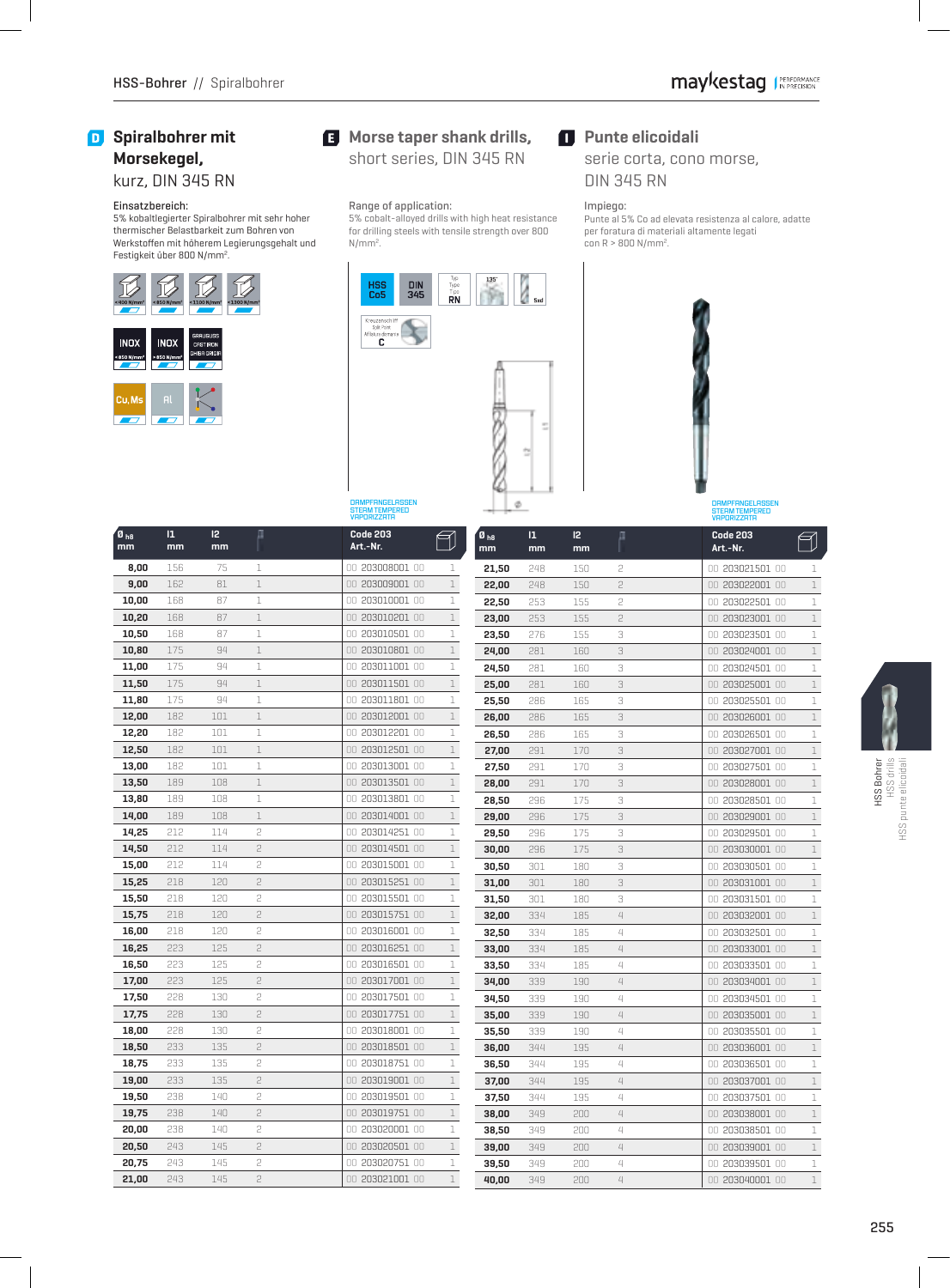### **B** Spiralbohrer mit **Morsekegel,**

kurz, DIN 345 RN

#### Einsatzbereich:

 5% kobaltlegierter Spiralbohrer mit sehr hoher thermischer Belastbarkeit zum Bohren von Werkstoffen mit höherem Legierungsgehalt und Festigkeit über 800 N/mm<sup>2</sup>.





### **Morse taper shank drills,** short series, DIN 345 RN

#### Range of application:

**DAMPFANGELASSEN STEAM TEMPERED**

 5% cobalt-alloyed drills with high heat resistance for drilling steels with tensile strength over 800  $N/mm<sup>2</sup>$ .



ó

### $\blacksquare$  Punte elicoidali

serie corta, cono morse,

DIN 345 RN

#### Impiego:

Punte al 5% Co ad elevata resistenza al calore, adatte per foratura di materiali altamente legati con R > 800 N/mm2 .



### **DAMPFANGELASSEN STEAM TEMPERED VAPORIZZATA**

|                       |          |          |              | <b>VAPORIZZATA</b>          |              |                         |                      |          |                          | <b>VAPORIZZATA</b>              |
|-----------------------|----------|----------|--------------|-----------------------------|--------------|-------------------------|----------------------|----------|--------------------------|---------------------------------|
| Ø <sub>h8</sub><br>mm | 1 <br>mm | 2 <br>mm | Л            | <b>Code 203</b><br>Art.-Nr. |              | $\mathbf{0}_{h8}$<br>mm | $\overline{1}$<br>mm | 2 <br>mm | Д                        | <b>Code 203</b><br>Art.-Nr.     |
| 8,00                  | 156      | 75       | $\mathbf{1}$ | 00 203008001 00             | 1            | 21,50                   | 248                  | 150      | 2                        | 00 203021501 00<br>1            |
| 9,00                  | 162      | 81       | $\mathbf 1$  | 00 203009001 00             | $\mathbf{1}$ | 22,00                   | 248                  | 150      | 2                        | $\mathbf{1}$<br>00 203022001 00 |
| 10,00                 | 168      | 87       | $\mathbf 1$  | 00 203010001 00             | $\mathbf 1$  | 22,50                   | 253                  | 155      | 2                        | $\mathbf 1$<br>00 203022501 00  |
| 10.20                 | 168      | 87       | $\mathbf{1}$ | 00 203010201 00             | $\mathbf 1$  | 23,00                   | 253                  | 155      | 2                        | 00 203023001 00<br>$\mathbf{1}$ |
| 10,50                 | 168      | 87       | $\mathbf 1$  | 00 203010501 00             | $\mathbf 1$  | 23,50                   | 276                  | 155      | 3                        | 00 203023501 00<br>$\mathbf{1}$ |
| 10,80                 | 175      | 94       | $\mathbf{1}$ | 00 203010801 00             | $\mathbf 1$  | 24,00                   | 281                  | 160      | 3                        | $\mathbf{1}$<br>00 203024001 00 |
| 11,00                 | 175      | 94       | $\mathbf 1$  | 00 203011001 00             | $1\,$        | 24,50                   | 281                  | 160      | З                        | 00 203024501 00<br>$\mathbf 1$  |
| 11,50                 | 175      | 94       | $\mathbf 1$  | 00 203011501 00             | $\mathbf{1}$ | 25,00                   | 281                  | 160      | 3                        | $\mathbf{1}$<br>00 203025001 00 |
| 11,80                 | 175      | 94       | $\mathbf 1$  | 00 203011801 00             | $\mathbf 1$  | 25,50                   | 286                  | 165      | 3                        | 00 203025501 00<br>$\mathbf{1}$ |
| 12,00                 | 182      | 101      | $\mathbf 1$  | 00 203012001 00             | $\mathbf 1$  | 26,00                   | 286                  | 165      | 3                        | $\mathbf{1}$<br>00 203026001 00 |
| 12,20                 | 182      | 101      | $\mathbf 1$  | 00 203012201 00             | $\mathbf 1$  | 26,50                   | 286                  | 165      | 3                        | 00 203026501 00<br>$\mathbf 1$  |
| 12,50                 | 182      | 101      | $\mathbf{1}$ | 00 203012501 00             | $\mathbf 1$  | 27,00                   | 291                  | 170      | 3                        | $\mathbf 1$<br>00 203027001 00  |
| 13,00                 | 182      | 101      | $\mathbf 1$  | 00 203013001 00             | 1            | 27,50                   | 291                  | 170      | 3                        | $\mathbf{1}$<br>00 203027501 00 |
| 13,50                 | 189      | 108      | $\mathbf{1}$ | 00 203013501 00             | $\mathbf 1$  | 28,00                   | 291                  | 170      | 3                        | $\mathbf{1}$<br>00 203028001 00 |
| 13,80                 | 189      | 108      | $\mathbf 1$  | 00 203013801 00             | $\mathbf 1$  | 28,50                   | 296                  | 175      | З                        | $\mathbf 1$<br>00 203028501 00  |
| 14,00                 | 189      | 108      | $1\,$        | 00 203014001 00             | $\mathbf 1$  | 29,00                   | 296                  | 175      | 3                        | $\mathbf{1}$<br>00 203029001 00 |
| 14,25                 | 212      | 114      | 2            | 00 203014251 00             | $\mathbf 1$  | 29,50                   | 296                  | 175      | 3                        | 00 203029501 00<br>$\mathbf 1$  |
| 14,50                 | 212      | 114      | 2            | 00 203014501 00             | $\mathbf 1$  | 30,00                   | 296                  | 175      | 3                        | $\mathbf 1$<br>00 203030001 00  |
| 15,00                 | 212      | 114      | 2            | 00 203015001 00             | $\mathbf 1$  | 30,50                   | 301                  | 180      | З                        | $\mathbf{1}$<br>00 203030501 00 |
| 15,25                 | 218      | 120      | $\geq$       | 00 203015251 00             | $\mathbf 1$  | 31,00                   | 301                  | 180      | 3                        | $\mathbf{1}$<br>00 203031001 00 |
| 15,50                 | 218      | 120      | 2            | 00 203015501 00             | $\mathbf 1$  | 31,50                   | 301                  | 180      | 3                        | $\mathbf{1}$<br>00 203031501 00 |
| 15,75                 | 218      | 120      | 2            | 00 203015751 00             | $\mathbf 1$  | 32,00                   | 334                  | 185      | $\overline{4}$           | $\mathbf{1}$<br>00 203032001 00 |
| 16,00                 | 218      | 120      | 2            | 00 203016001 00             | 1            | 32,50                   | 334                  | 185      | $\overline{\mathcal{L}}$ | 00 203032501 00<br>$\mathbf 1$  |
| 16,25                 | 223      | 125      | $\geq$       | 00 203016251 00             | $\mathbf 1$  | 33,00                   | 334                  | 185      | $\overline{4}$           | 00 203033001 00<br>$\mathbf 1$  |
| 16,50                 | 223      | 125      | 2            | 00 203016501 00             | $\mathbf 1$  | 33,50                   | 334                  | 185      | $\overline{\mathcal{L}}$ | $\mathbf 1$<br>00 203033501 00  |
| 17,00                 | 223      | 125      | $\geq$       | 00 203017001 00             | $\mathbf 1$  | 34,00                   | 339                  | 190      | $\overline{4}$           | $\mathbf{1}$<br>00 203034001 00 |
| 17,50                 | 228      | 130      | 2            | 00 203017501 00             | $\mathbf 1$  | 34,50                   | 339                  | 190      | 4                        | $\mathbf 1$<br>00 203034501 00  |
| 17,75                 | 228      | 130      | 2            | 00 203017751 00             | $\mathbf 1$  | 35,00                   | 339                  | 190      | $\overline{4}$           | $\mathbf 1$<br>00 203035001 00  |
| 18,00                 | 228      | 130      | 2            | 00 203018001 00             | $\mathbf 1$  | 35,50                   | 339                  | 190      | $\overline{\mathcal{L}}$ | 00 203035501 00<br>$\mathbf 1$  |
| 18,50                 | 233      | 135      | 2            | 00 203018501 00             | $\mathbf 1$  | 36,00                   | 344                  | 195      | $\overline{4}$           | $\mathbf 1$<br>00 203036001 00  |
| 18,75                 | 233      | 135      | 2            | 00 203018751 00             | 1            | 36,50                   | 344                  | 195      | 4                        | 00 203036501 00<br>$\mathbf 1$  |
| 19,00                 | 233      | 135      | 2            | 00 203019001 00             | $\mathbf 1$  | 37,00                   | 344                  | 195      | $\overline{4}$           | $\mathbf{1}$<br>00 203037001 00 |
| 19,50                 | 238      | 140      | 2            | 00 203019501 00             | $1\,$        | 37,50                   | 344                  | 195      | $\overline{\mathcal{L}}$ | $\mathbf 1$<br>00 203037501 00  |
| 19,75                 | 238      | 140      | 2            | 00 203019751 00             | $\mathbf 1$  | 38,00                   | 349                  | 200      | $\overline{4}$           | $\mathbf 1$<br>00 203038001 00  |
| 20,00                 | 238      | 140      | 2            | 00 203020001 00             | $\mathbf 1$  | 38,50                   | 349                  | 200      | 4                        | 00 203038501 00<br>$\mathbf{1}$ |
| 20,50                 | 243      | 145      | 2            | 00 203020501 00             | $\mathbf 1$  | 39,00                   | 349                  | 200      | $\overline{4}$           | 00 203039001 00<br>$\mathbf 1$  |
| 20,75                 | 243      | 145      | 2            | 00 203020751 00             | 1            | 39,50                   | 349                  | 200      | $\overline{\mathcal{L}}$ | 00 203039501 00<br>$\mathbf 1$  |
| 21.00                 | 243      | 145      | 2            | 00 203021001 00             | $\mathbb{1}$ | 40.00                   | 349                  | 200      | $\overline{\Box}$        | $\mathbb{1}$<br>00 203040001 00 |

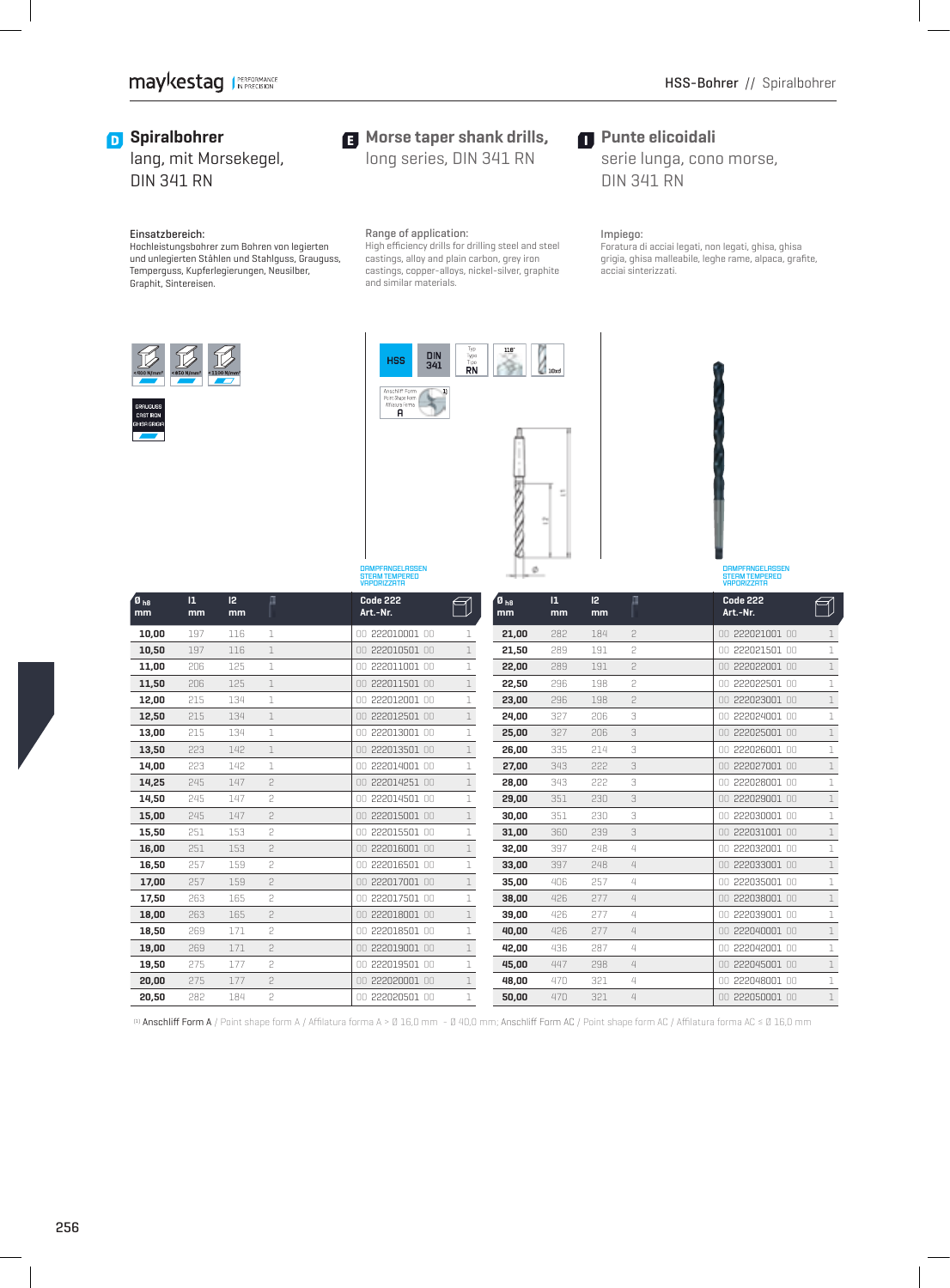### **Spiralbohrer**

lang, mit Morsekegel, DIN 341 RN

### **Morse taper shank drills,** long series, DIN 341 RN

## **Runte elicoidali** serie lunga, cono morse, DIN 341 RN

#### Einsatzbereich:

 Hochleistungsbohrer zum Bohren von legierten und unlegierten Stählen und Stahlguss, Grauguss, Temperguss, Kupferlegierungen, Neusilber, Graphit, Sintereisen.

#### Range of application:

High efficiency drills for drilling steel and steel castings, alloy and plain carbon, grey iron castings, copper-alloys, nickel-silver, graphite and similar materials.

#### Impiego:

 Foratura di acciai legati, non legati, ghisa, ghisa grigia, ghisa malleabile, leghe rame, alpaca, grafite, acciai sinterizzati.







**DAMPFANGELASSEN STEAM TEMPERED VAPORIZZATA**

| $\mathfrak{g}_{\,\mathrm{hs}}$<br>mm | $\mathbf{1}$<br>mm | 2 <br>mm | Д              | <b>Code 222</b><br>Art.-Nr. |              | $\mathfrak{g}_{\,\rm{h}8}$<br>mm | $\mathbf{1}$<br>mm | 2 <br>mm | Л              | <b>Code 222</b><br>Art.-Nr. | 団            |
|--------------------------------------|--------------------|----------|----------------|-----------------------------|--------------|----------------------------------|--------------------|----------|----------------|-----------------------------|--------------|
| 10.00                                | 197                | 116      | $\mathbf{1}$   | 00 222010001 00             |              | 21.00                            | 282                | 184      | 2              | 00 222021001 00             | $\mathbf{1}$ |
| 10,50                                | 197                | 116      | $\mathbf 1$    | 00 222010501 00             | $\mathbf 1$  | 21,50                            | 289                | 191      | 2              | 00 222021501 00             | 1            |
| 11.00                                | 206                | 125      | $\mathbf{1}$   | 00 222011001 00             | $\mathbf{1}$ | 22.00                            | 289                | 191      | 2              | 00 222022001 00             | $\mathbf{1}$ |
| 11,50                                | 206                | 125      | $\mathbf 1$    | 00 222011501 00             | $\mathbf{1}$ | 22.50                            | 296                | 198      | 2              | 00 222022501 00             | 1            |
| 12,00                                | 215                | 134      | 1              | 00 222012001 00             | 1            | 23.00                            | 296                | 198      | 2              | 222023001 00<br>$\Omega$    | $\mathbf{1}$ |
| 12,50                                | 215                | 134      | $\overline{1}$ | 00 222012501 00             | $\mathbf 1$  | 24.00                            | 327                | 206      | 3              | 00 222024001 00             | $1\,$        |
| 13,00                                | 215                | 134      | 1              | 00 222013001 00             | 1            | 25.00                            | 327                | 206      | 3              | 222025001 00<br>nn.         | $\mathbf{1}$ |
| 13,50                                | 223                | 142      | $\mathbf 1$    | 00 222013501 00             | $\mathbf{1}$ | 26.00                            | 335                | 214      | 3              | 00 222026001 00             | $\mathbf{1}$ |
| 14,00                                | 223                | 142      | $\mathbf{1}$   | 00 222014001 00             | 1            | 27,00                            | 343                | 222      | 3              | 00 222027001 00             | $\mathbf{1}$ |
| 14,25                                | 245                | 147      | 2              | 00 222014251 00             | $\mathbf 1$  | 28,00                            | 343                | 222      | 3              | 00 222028001 00             | $\mathbf{1}$ |
| 14,50                                | 245                | 147      | 2              | 00 222014501 00             | 1            | 29,00                            | 351                | 230      | 3              | 222029001 00<br>$\Omega$    | $\mathbf 1$  |
| 15,00                                | 245                | 147      | 2              | 00 222015001 00             | $\mathbf 1$  | 30,00                            | 351                | 230      | 3              | 00 222030001 00             | $\mathbf{1}$ |
| 15.50                                | 251                | 153      | 2              | 00 222015501 00             | $\mathbf 1$  | 31.00                            | 360                | 239      | 3              | 00 222031001 00             | $\mathbf{1}$ |
| 16,00                                | 251                | 153      | 2              | 00 222016001 00             | $\mathbf{1}$ | 32.00                            | 397                | 248      | $\overline{4}$ | 00 222032001 00             | $\mathbb{1}$ |
| 16,50                                | 257                | 159      | 2              | 00 222016501 00             | $\mathbf 1$  | 33,00                            | 397                | 248      | $\overline{4}$ | 222033001 00<br>$\Omega$    | $\mathbf{1}$ |
| 17.00                                | 257                | 159      | 2              | 00 222017001 00             | $\mathbf{1}$ | 35.00                            | 406                | 257      | $\overline{4}$ | 00 222035001 00             | $\mathbf{1}$ |
| 17.50                                | 263                | 165      | 2              | 00 222017501 00             | $\mathbf 1$  | 38.00                            | 426                | 277      | $\overline{4}$ | 00 222038001 00             | $\mathbf{1}$ |
| 18,00                                | 263                | 165      | 2              | 00 222018001 00             | $\mathbf{1}$ | 39.00                            | 426                | 277      | 4              | 00 222039001 00             | 1            |
| 18.50                                | 269                | 171      | 2              | 00 222018501 00             | $\mathbf 1$  | 40.00                            | 426                | 277      | $\overline{4}$ | 00 222040001 00             | $\mathbf{1}$ |
| 19,00                                | 269                | 171      | 2              | 00 222019001 00             | $\mathbf{1}$ | 42.00                            | 436                | 287      | 4              | 00 222042001 00             | $\mathbf{1}$ |
| 19,50                                | 275                | 177      | 2              | 00 222019501 00             | 1            | 45.00                            | 447                | 298      | $\overline{4}$ | 00 222045001 00             | $\mathbf{1}$ |
| 20,00                                | 275                | 177      | 2              | 00 222020001 00             | $\mathbf{1}$ | 48,00                            | 470                | 321      | 4              | 00 222048001 00             | 1            |
| 20,50                                | 282                | 184      | 2              | 00 222020501 00             | 1.           | 50,00                            | 470                | 321      | 4              | 00 222050001 00             | $\mathbb{1}$ |

(1) Anschliff Form A / Point shape form A / Affi latura forma A > Ø 16,0 mm - Ø 40,0 mm; Anschliff Form AC / Point shape form AC / Affi latura forma AC ≤ Ø 16,0 mm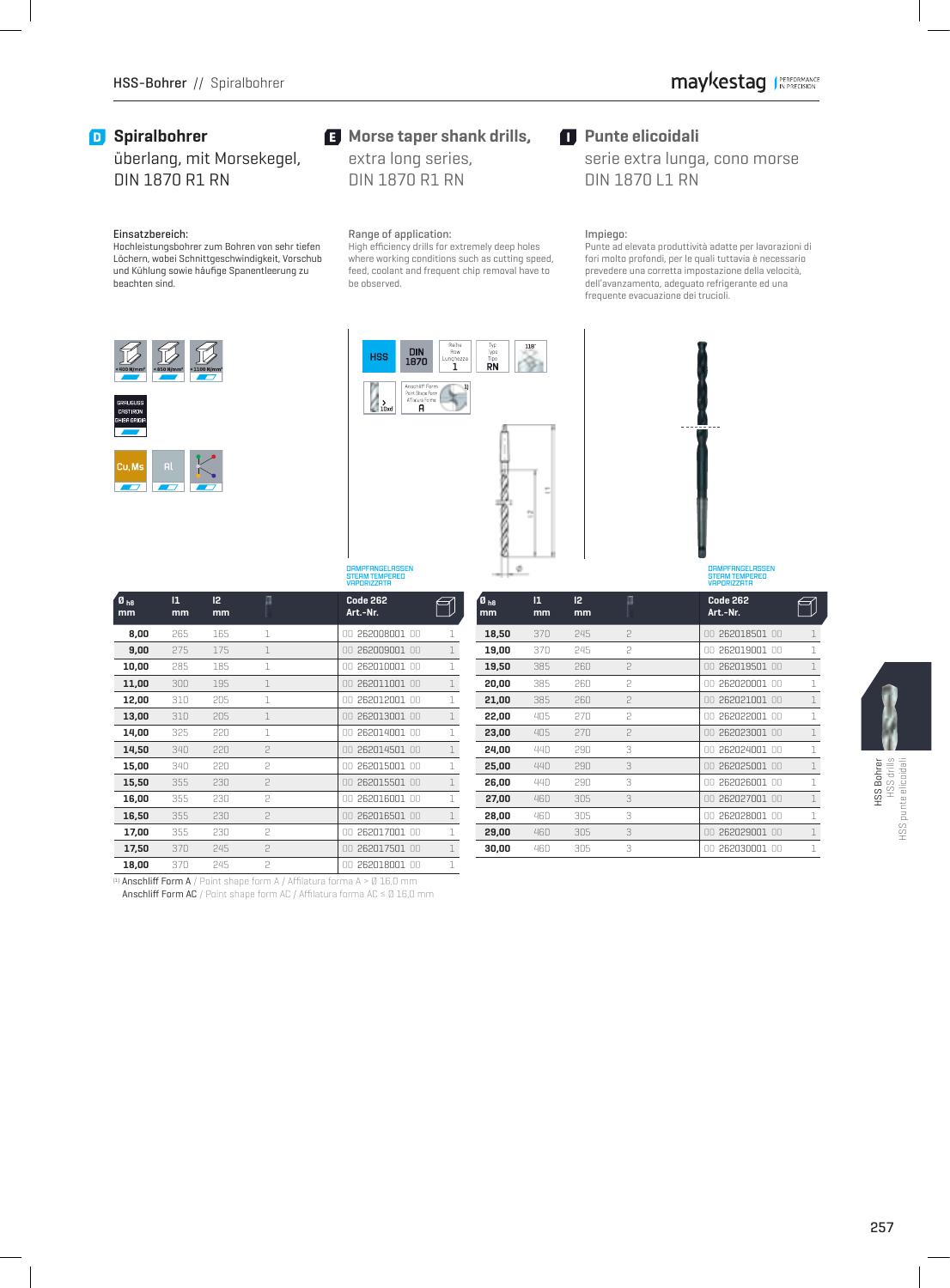### **D** Spiralbohrer

überlang, mit Morsekegel, DIN 1870 R1 RN

#### Einsatzbereich:

 Hochleistungsbohrer zum Bohren von sehr tiefen Löchern, wobei Schnittgeschwindigkeit, Vorschub und Kühlung sowie häufige Spanentleerung zu beachten sind.

### $\blacksquare$  Morse taper shank drills,

extra long series, DIN 1870 R1 RN

#### Range of application:

High efficiency drills for extremely deep holes where working conditions such as cutting speed, feed, coolant and frequent chip removal have to be observed.

## **Punte elicoidali**

serie extra lunga, cono morse DIN 1870 L1 RN

#### Impiego:

 Punte ad elevata produttività adatte per lavorazioni di fori molto profondi, per le quali tuttavia è necessario prevedere una corretta impostazione della velocità, dell'avanzamento, adeguato refrigerante ed una frequente evacuazione dei trucioli.





| $\boldsymbol{\varnothing}$ <sub>h8</sub><br>mm | 11<br>mm | 2 <br>mm | л | <b>Code 262</b><br>Art.-Nr. |   |
|------------------------------------------------|----------|----------|---|-----------------------------|---|
| 8,00                                           | 265      | 165      | 1 | 262008001 00<br>nη          | 1 |
| 9.00                                           | 275      | 175      | 1 | 262009001 00<br>nn          | 1 |
| 10,00                                          | 285      | 185      | 1 | 262010001 00<br>ΩO          | 1 |
| 11,00                                          | 300      | 195      | 1 | 262011001 00<br>$\Omega$    | 1 |
| 12,00                                          | 310      | 205      | 1 | 262012001 00<br>nn          | 1 |
| 13,00                                          | 310      | 205      | 1 | 262013001 00<br>nn          | 1 |
| 14,00                                          | 325      | 220      | 1 | 262014001 00<br>nn          | 1 |
| 14.50                                          | 340      | 220      | P | 262014501 00<br>00          | 1 |
| 15,00                                          | 340      | 220      | 2 | 262015001 00<br>ΩO          | 1 |
| 15.50                                          | 355      | 230      | 2 | 00 262015501 00             | 1 |
| 16,00                                          | 355      | 230      | 2 | 262016001 00<br>nn          | 1 |
| 16,50                                          | 355      | 230      | P | 262016501 00<br>00          | 1 |
| 17,00                                          | 355      | 230      | 2 | 262017001 00<br>ΩŪ          | 1 |
| 17,50                                          | 370      | 245      | P | 262017501 00<br>00          |   |
| 18,00                                          | 370      | 245      | 2 | 262018001<br>nn<br>nη       | 1 |

| $\overline{\mathbf{0}}_{h8}$<br>mm | $\overline{1}$<br>mm | $\overline{2}$<br>mm |   |     | <b>Code 262</b><br>Art.-Nr. |             |
|------------------------------------|----------------------|----------------------|---|-----|-----------------------------|-------------|
| 18.50                              | 370                  | 245                  | 2 | 00  | 262018501 00                | 1           |
| 19,00                              | 370                  | 245                  | 2 | ΩŪ  | 262019001 00                | $\mathbf 1$ |
| 19,50                              | 385                  | 260                  | 2 | 00  | 262019501 00                | 1           |
| 20,00                              | 385                  | 260                  | 2 | 00  | 262020001 00                | 1           |
| 21,00                              | 385                  | 260                  | 2 | 00  | 262021001 00                | $\mathbf 1$ |
| 22,00                              | 405                  | 270                  | 2 | ΩO  | 262022001 00                | 1           |
| 23.00                              | 405                  | 270                  | P | 00  | 262023001 00                | $\mathbf 1$ |
| 24.00                              | 440                  | 290                  | 3 | OO. | 262024001 00                | 1           |
| 25,00                              | 440                  | 290                  | 3 | 00  | 262025001 00                | $\mathbf 1$ |
| 26,00                              | 440                  | 290                  | 3 | nn  | 262026001 00                | 1           |
| 27,00                              | 460                  | 305                  | 3 | 00  | 262027001 00                | $\mathbf 1$ |
| 28.00                              | 460                  | 305                  | 3 | nn  | 262028001 00                | $\mathbf 1$ |
| 29,00                              | 460                  | 305                  | 3 | 00  | 262029001 00                | $\mathbf 1$ |
| 30,00                              | 460                  | 305                  | 3 | ΩO  | 262030001 00                | 1           |



(1) Anschliff Form A / Point shape form A / Affilatura forma  $A > 0$  16,0 mm

Anschliff Form AC / Point shape form AC / Affilatura forma AC ≤ Ø 16,0 mm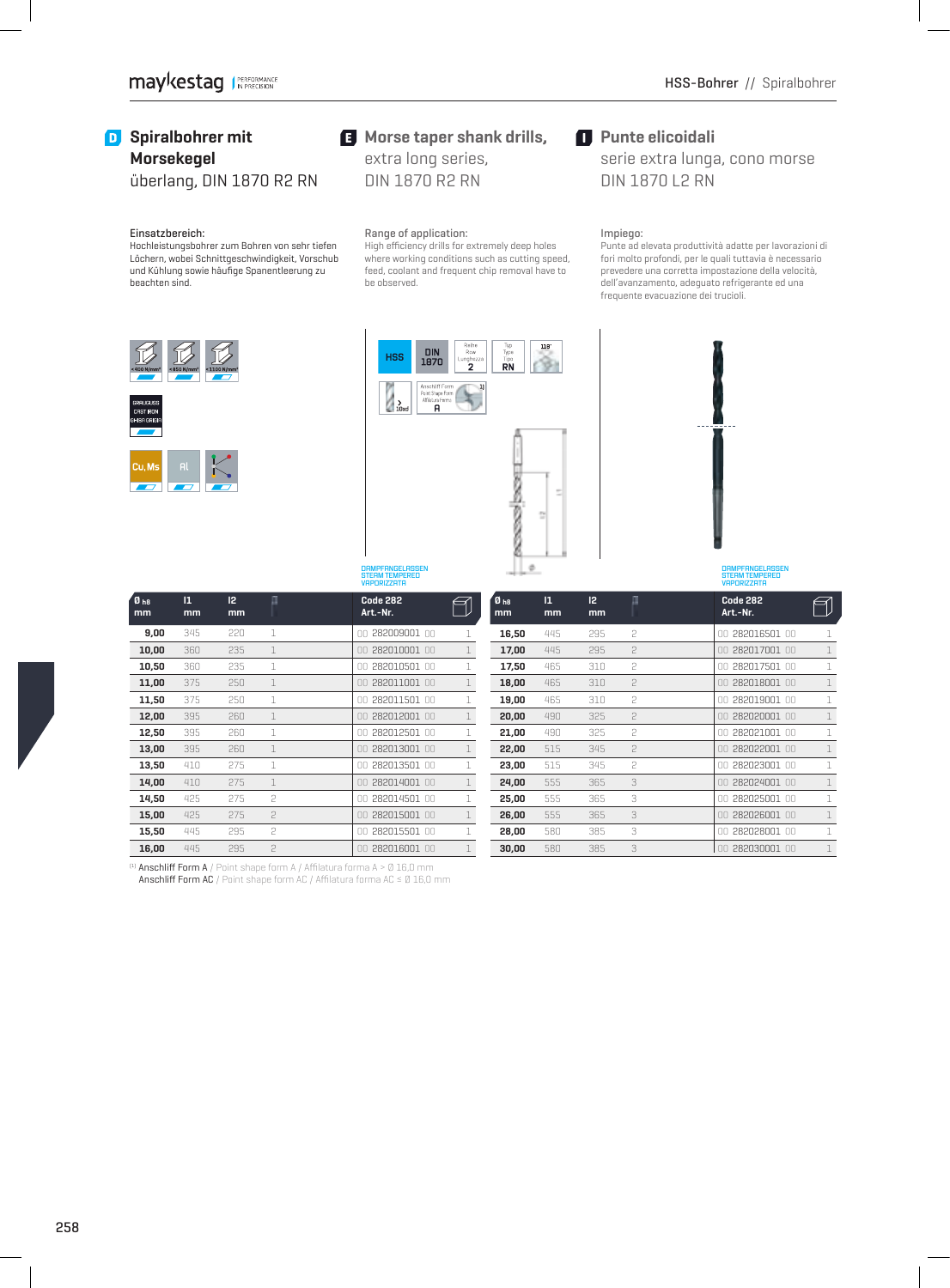### **B** Spiralbohrer mit **Morsekegel**

### überlang, DIN 1870 R2 RN

#### Einsatzbereich:

 Hochleistungsbohrer zum Bohren von sehr tiefen Löchern, wobei Schnittgeschwindigkeit, Vorschub und Kühlung sowie häufige Spanentleerung zu beachten sind.

### **Morse taper shank drills,**

extra long series, DIN 1870 R2 RN

#### Range of application:

High efficiency drills for extremely deep holes where working conditions such as cutting speed, feed, coolant and frequent chip removal have to be observed.

### $\blacksquare$  Punte elicoidali

serie extra lunga, cono morse DIN 1870 L2 RN

#### Impiego:

 Punte ad elevata produttività adatte per lavorazioni di fori molto profondi, per le quali tuttavia è necessario prevedere una corretta impostazione della velocità, dell'avanzamento, adeguato refrigerante ed una frequente evacuazione dei trucioli.







| <b>DAMPFANGELASSEN</b> |  |  |
|------------------------|--|--|
| <b>STEAM TEMPERED</b>  |  |  |

| $\boldsymbol{\varnothing}$ <sub>h8</sub><br>mm | $\overline{1}$<br>mm | 12<br>mm |   | <b>Code 282</b><br>Art.-Nr. |              |
|------------------------------------------------|----------------------|----------|---|-----------------------------|--------------|
| 9.00                                           | 345                  | 22N      | 1 | 282009001 00<br>nn          | 1            |
| 10,00                                          | 360                  | 235      | 1 | 282010001 00<br>nn          | 1            |
| 10,50                                          | 360                  | 235      | 1 | 282010501<br>nn<br>nn       | 1            |
| 11,00                                          | 375                  | 250      | 1 | 282011001 00<br>nη          | 1            |
| 11,50                                          | 375                  | 250      | 1 | 282011501<br>nn<br>nn       | 1            |
| 12.00                                          | 395                  | 260      | 1 | 282012001 00<br>nn          | 1            |
| 12,50                                          | 395                  | 260      | 1 | 282012501<br>nn<br>nn       | $\mathbb{1}$ |
| 13.00                                          | 395                  | 260      | 1 | 282013001 00<br>00          | 1            |
| 13,50                                          | 410                  | 275      | 1 | 282013501<br>nn<br>nn       | 1            |
| 14,00                                          | 410                  | 275      | 1 | 282014001<br>nn<br>nn       | 1            |
| 14.50                                          | 425                  | 275      | 2 | 282014501<br>nn<br>nη       | 1            |
| 15.00                                          | 425                  | 275      | P | 282015001 00<br>nn          | 1            |
| 15.50                                          | 445                  | 295      | 2 | 282015501<br>nn<br>nn       | 1            |
| 16.00                                          | 445                  | 295      | P | 282016001<br>nn<br>ΠN       | 1.           |

|                                       |          |          |   | VAPORIZZATA                 |   |
|---------------------------------------|----------|----------|---|-----------------------------|---|
| $\boldsymbol{\varnothing}_{h8}$<br>mm | 11<br>mm | 12<br>mm | Л | <b>Code 282</b><br>Art.-Nr. |   |
| 16,50                                 | 445      | 295      | 2 | 282016501 00<br>00          | 1 |
| 17,00                                 | 445      | 295      | 2 | 282017001 00<br>00          | 1 |
| 17.50                                 | 465      | 310      | 2 | 282017501<br>nn<br>nη       | 1 |
| 18,00                                 | 465      | 310      | 2 | 282018001<br>$\Omega$<br>00 | 1 |
| 19,00                                 | 465      | 310      | 2 | 282019001<br>m<br>n         | 1 |
| 20,00                                 | 490      | 325      | 2 | 282020001<br>$\Omega$<br>00 | 1 |
| 21,00                                 | 490      | 325      | 2 | 282021001 00<br>nη          | 1 |
| 22,00                                 | 515      | 345      | P | 282022001<br>nn<br>00       | 1 |
| 23,00                                 | 515      | 345      | 2 | 282023001<br>nn<br>ΩŪ       | 1 |
| 24.00                                 | 555      | 365      | 3 | 282024001<br>nn<br>nn       | 1 |
| 25,00                                 | 555      | 365      | 3 | 282025001<br>$\Omega$<br>ΩO | 1 |
| 26,00                                 | 555      | 365      | 3 | 282026001<br>$\Omega$<br>ΩO | 1 |
| 28,00                                 | 580      | 385      | 3 | 282028001<br>$\Omega$<br>ΩO | 1 |
| 30,00                                 | 580      | 385      | 3 | 282030001 00<br>00          | 1 |
|                                       |          |          |   |                             |   |

 $^{(1)}$  Anschliff Form A / Point shape form A / Affilatura forma A > Ø 16,0 mm **Anschliff Form AC** / Point shape form AC / Affilatura forma AC  $\leq \emptyset$  16,0 mm